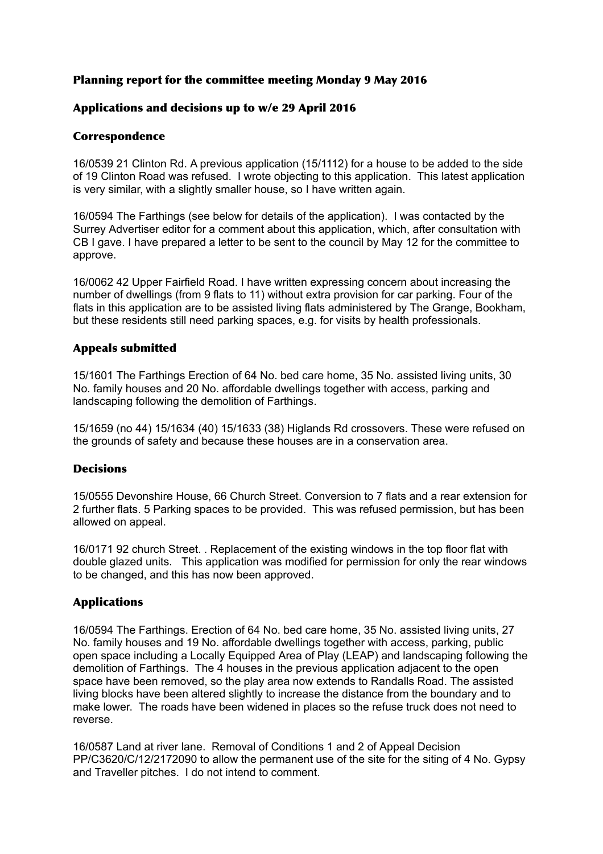## Planning report for the committee meeting Monday 9 May 2016

# Applications and decisions up to w/e 29 April 2016

## Correspondence

16/0539 21 Clinton Rd. A previous application (15/1112) for a house to be added to the side of 19 Clinton Road was refused. I wrote objecting to this application. This latest application is very similar, with a slightly smaller house, so I have written again.

16/0594 The Farthings (see below for details of the application). I was contacted by the Surrey Advertiser editor for a comment about this application, which, after consultation with CB I gave. I have prepared a letter to be sent to the council by May 12 for the committee to approve.

16/0062 42 Upper Fairfield Road. I have written expressing concern about increasing the number of dwellings (from 9 flats to 11) without extra provision for car parking. Four of the flats in this application are to be assisted living flats administered by The Grange, Bookham, but these residents still need parking spaces, e.g. for visits by health professionals.

# Appeals submitted

15/1601 The Farthings Erection of 64 No. bed care home, 35 No. assisted living units, 30 No. family houses and 20 No. affordable dwellings together with access, parking and landscaping following the demolition of Farthings.

15/1659 (no 44) 15/1634 (40) 15/1633 (38) Higlands Rd crossovers. These were refused on the grounds of safety and because these houses are in a conservation area.

## Decisions

15/0555 Devonshire House, 66 Church Street. Conversion to 7 flats and a rear extension for 2 further flats. 5 Parking spaces to be provided. This was refused permission, but has been allowed on appeal.

16/0171 92 church Street. . Replacement of the existing windows in the top floor flat with double glazed units. This application was modified for permission for only the rear windows to be changed, and this has now been approved.

## Applications

16/0594 The Farthings. Erection of 64 No. bed care home, 35 No. assisted living units, 27 No. family houses and 19 No. affordable dwellings together with access, parking, public open space including a Locally Equipped Area of Play (LEAP) and landscaping following the demolition of Farthings. The 4 houses in the previous application adjacent to the open space have been removed, so the play area now extends to Randalls Road. The assisted living blocks have been altered slightly to increase the distance from the boundary and to make lower. The roads have been widened in places so the refuse truck does not need to reverse.

16/0587 Land at river lane. Removal of Conditions 1 and 2 of Appeal Decision PP/C3620/C/12/2172090 to allow the permanent use of the site for the siting of 4 No. Gypsy and Traveller pitches. I do not intend to comment.